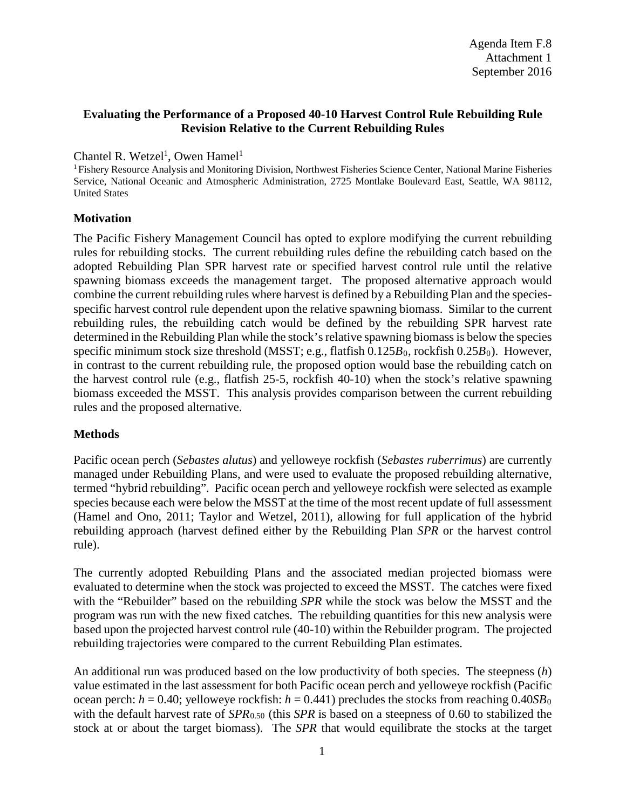### **Evaluating the Performance of a Proposed 40-10 Harvest Control Rule Rebuilding Rule Revision Relative to the Current Rebuilding Rules**

## Chantel R. Wetzel<sup>1</sup>, Owen Hamel<sup>1</sup>

1 Fishery Resource Analysis and Monitoring Division, Northwest Fisheries Science Center, National Marine Fisheries Service, National Oceanic and Atmospheric Administration, 2725 Montlake Boulevard East, Seattle, WA 98112, United States

#### **Motivation**

The Pacific Fishery Management Council has opted to explore modifying the current rebuilding rules for rebuilding stocks. The current rebuilding rules define the rebuilding catch based on the adopted Rebuilding Plan SPR harvest rate or specified harvest control rule until the relative spawning biomass exceeds the management target. The proposed alternative approach would combine the current rebuilding rules where harvest is defined by a Rebuilding Plan and the speciesspecific harvest control rule dependent upon the relative spawning biomass. Similar to the current rebuilding rules, the rebuilding catch would be defined by the rebuilding SPR harvest rate determined in the Rebuilding Plan while the stock's relative spawning biomass is below the species specific minimum stock size threshold (MSST; e.g., flatfish 0.125*B*0, rockfish 0.25*B*0). However, in contrast to the current rebuilding rule, the proposed option would base the rebuilding catch on the harvest control rule (e.g., flatfish 25-5, rockfish 40-10) when the stock's relative spawning biomass exceeded the MSST. This analysis provides comparison between the current rebuilding rules and the proposed alternative.

#### **Methods**

Pacific ocean perch (*Sebastes alutus*) and yelloweye rockfish (*Sebastes ruberrimus*) are currently managed under Rebuilding Plans, and were used to evaluate the proposed rebuilding alternative, termed "hybrid rebuilding". Pacific ocean perch and yelloweye rockfish were selected as example species because each were below the MSST at the time of the most recent update of full assessment (Hamel and Ono, 2011; Taylor and Wetzel, 2011), allowing for full application of the hybrid rebuilding approach (harvest defined either by the Rebuilding Plan *SPR* or the harvest control rule).

The currently adopted Rebuilding Plans and the associated median projected biomass were evaluated to determine when the stock was projected to exceed the MSST. The catches were fixed with the "Rebuilder" based on the rebuilding *SPR* while the stock was below the MSST and the program was run with the new fixed catches. The rebuilding quantities for this new analysis were based upon the projected harvest control rule (40-10) within the Rebuilder program. The projected rebuilding trajectories were compared to the current Rebuilding Plan estimates.

An additional run was produced based on the low productivity of both species. The steepness (*h*) value estimated in the last assessment for both Pacific ocean perch and yelloweye rockfish (Pacific ocean perch:  $h = 0.40$ ; yelloweye rockfish:  $h = 0.441$ ) precludes the stocks from reaching  $0.40S$ B<sub>0</sub> with the default harvest rate of  $SPR_{0.50}$  (this *SPR* is based on a steepness of 0.60 to stabilized the stock at or about the target biomass). The *SPR* that would equilibrate the stocks at the target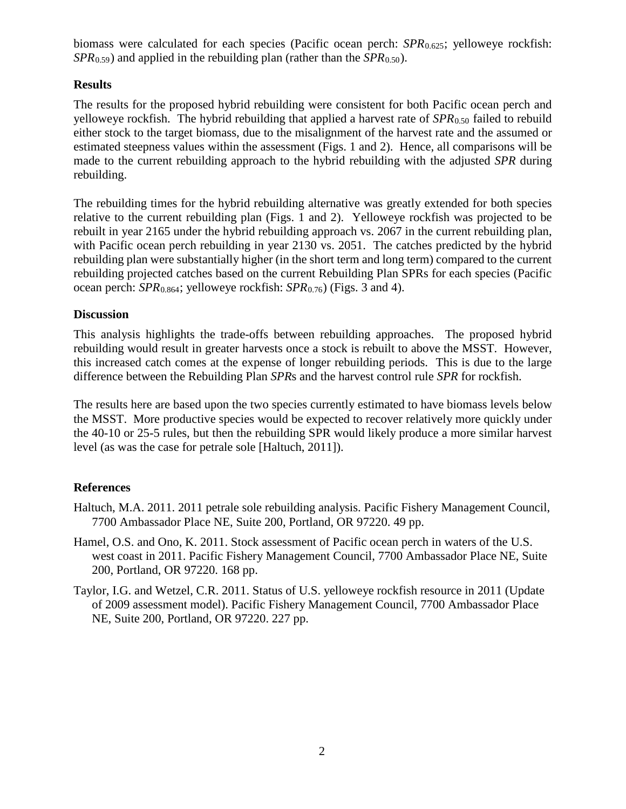biomass were calculated for each species (Pacific ocean perch: *SPR*0.625; yelloweye rockfish: *SPR*0.59) and applied in the rebuilding plan (rather than the *SPR*0.50).

## **Results**

The results for the proposed hybrid rebuilding were consistent for both Pacific ocean perch and yelloweye rockfish. The hybrid rebuilding that applied a harvest rate of *SPR*0.50 failed to rebuild either stock to the target biomass, due to the misalignment of the harvest rate and the assumed or estimated steepness values within the assessment (Figs. 1 and 2). Hence, all comparisons will be made to the current rebuilding approach to the hybrid rebuilding with the adjusted *SPR* during rebuilding.

The rebuilding times for the hybrid rebuilding alternative was greatly extended for both species relative to the current rebuilding plan (Figs. 1 and 2). Yelloweye rockfish was projected to be rebuilt in year 2165 under the hybrid rebuilding approach vs. 2067 in the current rebuilding plan, with Pacific ocean perch rebuilding in year 2130 vs. 2051. The catches predicted by the hybrid rebuilding plan were substantially higher (in the short term and long term) compared to the current rebuilding projected catches based on the current Rebuilding Plan SPRs for each species (Pacific ocean perch: *SPR*0.864; yelloweye rockfish: *SPR*0.76) (Figs. 3 and 4).

## **Discussion**

This analysis highlights the trade-offs between rebuilding approaches. The proposed hybrid rebuilding would result in greater harvests once a stock is rebuilt to above the MSST. However, this increased catch comes at the expense of longer rebuilding periods. This is due to the large difference between the Rebuilding Plan *SPR*s and the harvest control rule *SPR* for rockfish.

The results here are based upon the two species currently estimated to have biomass levels below the MSST. More productive species would be expected to recover relatively more quickly under the 40-10 or 25-5 rules, but then the rebuilding SPR would likely produce a more similar harvest level (as was the case for petrale sole [Haltuch, 2011]).

# **References**

- Haltuch, M.A. 2011. 2011 petrale sole rebuilding analysis. Pacific Fishery Management Council, 7700 Ambassador Place NE, Suite 200, Portland, OR 97220. 49 pp.
- Hamel, O.S. and Ono, K. 2011. Stock assessment of Pacific ocean perch in waters of the U.S. west coast in 2011. Pacific Fishery Management Council, 7700 Ambassador Place NE, Suite 200, Portland, OR 97220. 168 pp.
- Taylor, I.G. and Wetzel, C.R. 2011. Status of U.S. yelloweye rockfish resource in 2011 (Update of 2009 assessment model). Pacific Fishery Management Council, 7700 Ambassador Place NE, Suite 200, Portland, OR 97220. 227 pp.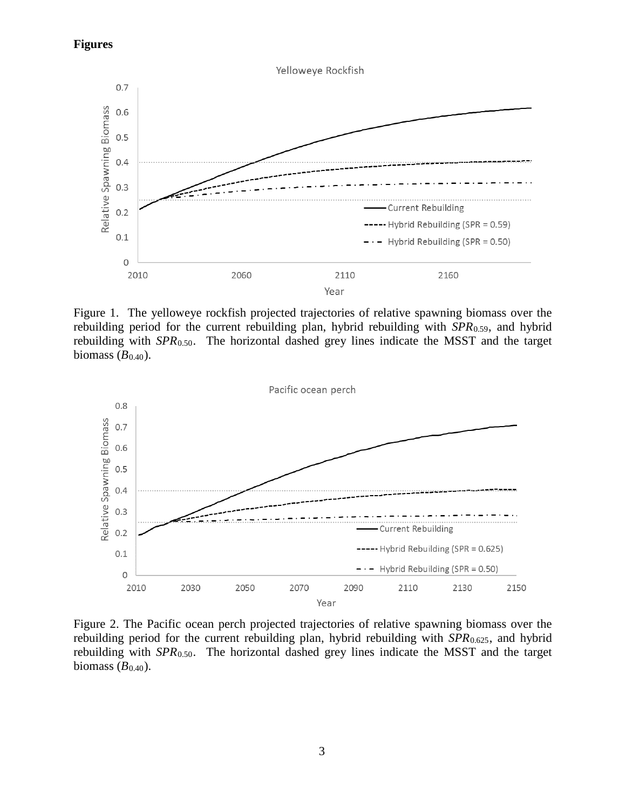#### **Figures**



Figure 1. The yelloweye rockfish projected trajectories of relative spawning biomass over the rebuilding period for the current rebuilding plan, hybrid rebuilding with *SPR*0.59, and hybrid rebuilding with *SPR*0.50. The horizontal dashed grey lines indicate the MSST and the target biomass  $(B_{0.40})$ .



Figure 2. The Pacific ocean perch projected trajectories of relative spawning biomass over the rebuilding period for the current rebuilding plan, hybrid rebuilding with *SPR*0.625, and hybrid rebuilding with *SPR*0.50. The horizontal dashed grey lines indicate the MSST and the target biomass  $(B_{0.40})$ .